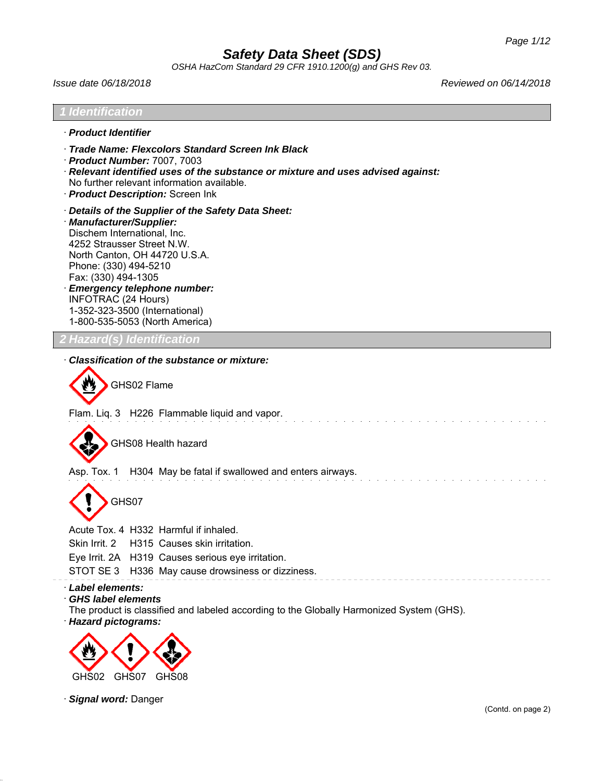*OSHA HazCom Standard 29 CFR 1910.1200(g) and GHS Rev 03.*

*Issue date 06/18/2018 Reviewed on 06/14/2018*

# *1 Identification* · *Product Identifier* · *Trade Name: Flexcolors Standard Screen Ink Black* · *Product Number:* 7007, 7003 · *Relevant identified uses of the substance or mixture and uses advised against:* No further relevant information available. · *Product Description:* Screen Ink · *Details of the Supplier of the Safety Data Sheet:* · *Manufacturer/Supplier:* Dischem International, Inc. 4252 Strausser Street N.W. North Canton, OH 44720 U.S.A. Phone: (330) 494-5210 Fax: (330) 494-1305 · *Emergency telephone number:* INFOTRAC (24 Hours) 1-352-323-3500 (International) 1-800-535-5053 (North America) *2 Hazard(s) Identification* · *Classification of the substance or mixture:* GHS02 Flame Flam. Liq. 3 H226 Flammable liquid and vapor. GHS08 Health hazard Asp. Tox. 1 H304 May be fatal if swallowed and enters airways. GHS07 Acute Tox. 4 H332 Harmful if inhaled. Skin Irrit. 2 H315 Causes skin irritation. Eye Irrit. 2A H319 Causes serious eye irritation. STOT SE 3 H336 May cause drowsiness or dizziness. · *Label elements:* · *GHS label elements* The product is classified and labeled according to the Globally Harmonized System (GHS).

· *Hazard pictograms:*



· *Signal word:* Danger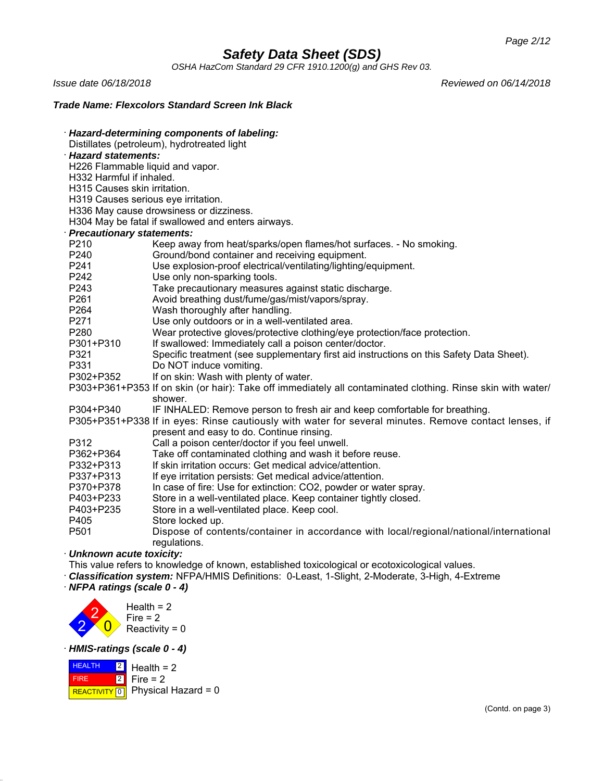*OSHA HazCom Standard 29 CFR 1910.1200(g) and GHS Rev 03.*

*Issue date 06/18/2018 Reviewed on 06/14/2018*

## *Trade Name: Flexcolors Standard Screen Ink Black*

| Hazard-determining components of labeling: |                                                                                                             |  |
|--------------------------------------------|-------------------------------------------------------------------------------------------------------------|--|
|                                            | Distillates (petroleum), hydrotreated light                                                                 |  |
| <b>Hazard statements:</b>                  |                                                                                                             |  |
| H226 Flammable liquid and vapor.           |                                                                                                             |  |
| H332 Harmful if inhaled.                   |                                                                                                             |  |
| H315 Causes skin irritation.               |                                                                                                             |  |
| H319 Causes serious eye irritation.        |                                                                                                             |  |
|                                            | H336 May cause drowsiness or dizziness.                                                                     |  |
|                                            | H304 May be fatal if swallowed and enters airways.                                                          |  |
| <b>Precautionary statements:</b>           |                                                                                                             |  |
| P210                                       | Keep away from heat/sparks/open flames/hot surfaces. - No smoking.                                          |  |
| P240                                       | Ground/bond container and receiving equipment.                                                              |  |
| P241                                       | Use explosion-proof electrical/ventilating/lighting/equipment.                                              |  |
| P242                                       | Use only non-sparking tools.                                                                                |  |
| P243                                       | Take precautionary measures against static discharge.                                                       |  |
| P261                                       | Avoid breathing dust/fume/gas/mist/vapors/spray.                                                            |  |
| P264                                       | Wash thoroughly after handling.                                                                             |  |
| P271                                       | Use only outdoors or in a well-ventilated area.                                                             |  |
| P280                                       | Wear protective gloves/protective clothing/eye protection/face protection.                                  |  |
| P301+P310                                  | If swallowed: Immediately call a poison center/doctor.                                                      |  |
| P321                                       | Specific treatment (see supplementary first aid instructions on this Safety Data Sheet).                    |  |
| P331                                       | Do NOT induce vomiting.                                                                                     |  |
| P302+P352                                  | If on skin: Wash with plenty of water.                                                                      |  |
|                                            | P303+P361+P353 If on skin (or hair): Take off immediately all contaminated clothing. Rinse skin with water/ |  |
|                                            | shower.                                                                                                     |  |
| P304+P340                                  | IF INHALED: Remove person to fresh air and keep comfortable for breathing.                                  |  |
|                                            | P305+P351+P338 If in eyes: Rinse cautiously with water for several minutes. Remove contact lenses, if       |  |
|                                            | present and easy to do. Continue rinsing.                                                                   |  |
| P312                                       | Call a poison center/doctor if you feel unwell.                                                             |  |
| P362+P364                                  | Take off contaminated clothing and wash it before reuse.                                                    |  |
| P332+P313                                  | If skin irritation occurs: Get medical advice/attention.                                                    |  |
| P337+P313                                  | If eye irritation persists: Get medical advice/attention.                                                   |  |
| P370+P378                                  | In case of fire: Use for extinction: CO2, powder or water spray.                                            |  |
| P403+P233                                  | Store in a well-ventilated place. Keep container tightly closed.                                            |  |
| P403+P235                                  | Store in a well-ventilated place. Keep cool.                                                                |  |
| P405                                       | Store locked up.                                                                                            |  |
| P501                                       | Dispose of contents/container in accordance with local/regional/national/international                      |  |
|                                            | regulations.                                                                                                |  |
| Unknown acute toxicity:                    |                                                                                                             |  |

· *Unknown acute toxicity:*

This value refers to knowledge of known, established toxicological or ecotoxicological values.

· *Classification system:* NFPA/HMIS Definitions: 0-Least, 1-Slight, 2-Moderate, 3-High, 4-Extreme

· *NFPA ratings (scale 0 - 4)*



· *HMIS-ratings (scale 0 - 4)*

**HEALTH**  FIRE REACTIVITY  $\boxed{0}$  Physical Hazard = 0 2 2 Health  $= 2$ Fire  $= 2$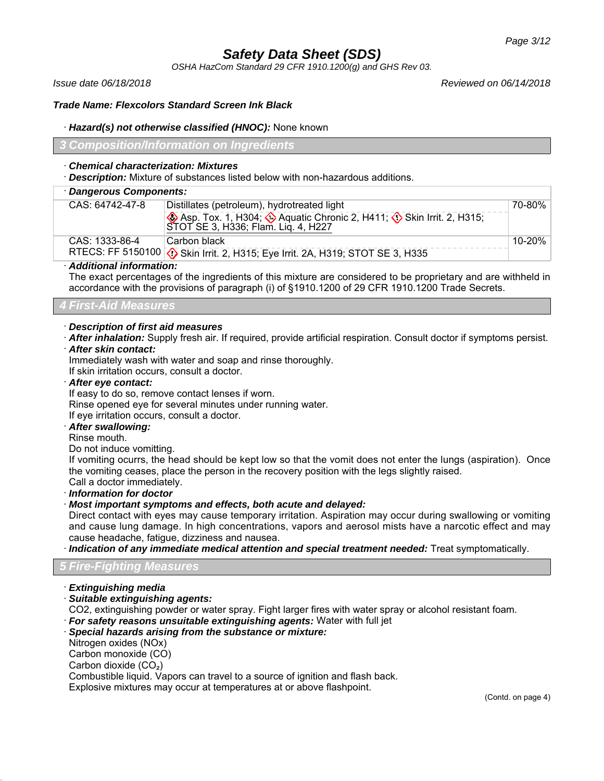*OSHA HazCom Standard 29 CFR 1910.1200(g) and GHS Rev 03.*

*Issue date 06/18/2018 Reviewed on 06/14/2018*

### *Trade Name: Flexcolors Standard Screen Ink Black*

### · *Hazard(s) not otherwise classified (HNOC):* None known

*3 Composition/Information on Ingredients*

### · *Chemical characterization: Mixtures*

· *Description:* Mixture of substances listed below with non-hazardous additions.

# · *Dangerous Components:*

| CAS: 64742-47-8 | Distillates (petroleum), hydrotreated light                                   | 70-80% |
|-----------------|-------------------------------------------------------------------------------|--------|
|                 | Asp. Tox. 1, H304; Aquatic Chronic 2, H411; Skin Irrit. 2, H315;              |        |
|                 | STOT SE 3, H336; Flam. Lig. 4, H227                                           |        |
| CAS: 1333-86-4  | Carbon black                                                                  | 10-20% |
|                 | RTECS: FF 5150100 3 Skin Irrit. 2, H315; Eye Irrit. 2A, H319; STOT SE 3, H335 |        |
|                 |                                                                               |        |

## · *Additional information:*

The exact percentages of the ingredients of this mixture are considered to be proprietary and are withheld in accordance with the provisions of paragraph (i) of §1910.1200 of 29 CFR 1910.1200 Trade Secrets.

# *4 First-Aid Measures*

## · *Description of first aid measures*

· *After inhalation:* Supply fresh air. If required, provide artificial respiration. Consult doctor if symptoms persist.

### · *After skin contact:*

Immediately wash with water and soap and rinse thoroughly.

If skin irritation occurs, consult a doctor.

#### · *After eye contact:*

If easy to do so, remove contact lenses if worn.

Rinse opened eye for several minutes under running water.

If eye irritation occurs, consult a doctor.

### · *After swallowing:*

Rinse mouth.

Do not induce vomitting.

If vomiting ocurrs, the head should be kept low so that the vomit does not enter the lungs (aspiration). Once the vomiting ceases, place the person in the recovery position with the legs slightly raised.

Call a doctor immediately.

· *Information for doctor*

### · *Most important symptoms and effects, both acute and delayed:*

Direct contact with eyes may cause temporary irritation. Aspiration may occur during swallowing or vomiting and cause lung damage. In high concentrations, vapors and aerosol mists have a narcotic effect and may cause headache, fatigue, dizziness and nausea.

· *Indication of any immediate medical attention and special treatment needed:* Treat symptomatically.

# *5 Fire-Fighting Measures*

- · *Extinguishing media*
- · *Suitable extinguishing agents:*

CO2, extinguishing powder or water spray. Fight larger fires with water spray or alcohol resistant foam.

· *For safety reasons unsuitable extinguishing agents:* Water with full jet

### · *Special hazards arising from the substance or mixture:*

Nitrogen oxides (NOx)

Carbon monoxide (CO)

Carbon dioxide (CO₂)

Combustible liquid. Vapors can travel to a source of ignition and flash back.

Explosive mixtures may occur at temperatures at or above flashpoint.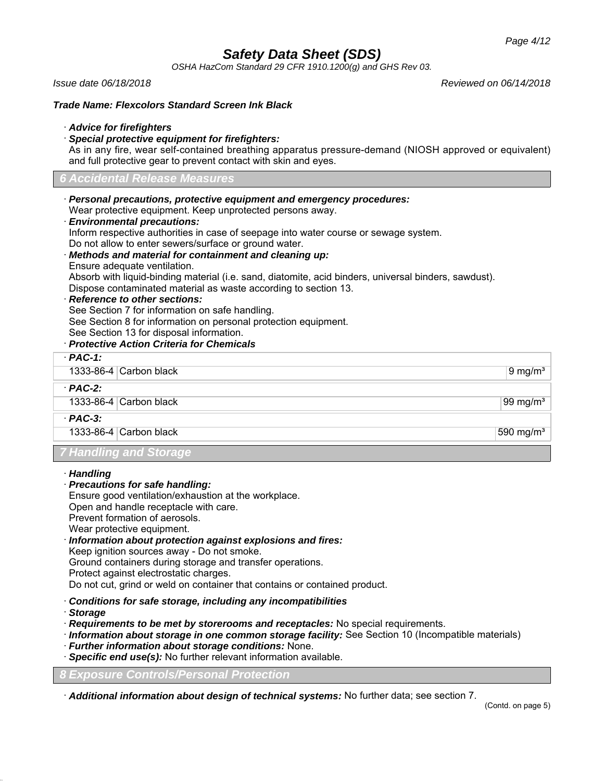*OSHA HazCom Standard 29 CFR 1910.1200(g) and GHS Rev 03.*

*Issue date 06/18/2018 Reviewed on 06/14/2018*

### *Trade Name: Flexcolors Standard Screen Ink Black*

### · *Advice for firefighters*

· *Special protective equipment for firefighters:*

As in any fire, wear self-contained breathing apparatus pressure-demand (NIOSH approved or equivalent) and full protective gear to prevent contact with skin and eyes.

### *6 Accidental Release Measures*

· *Personal precautions, protective equipment and emergency procedures:* Wear protective equipment. Keep unprotected persons away.

### · *Environmental precautions:*

Inform respective authorities in case of seepage into water course or sewage system. Do not allow to enter sewers/surface or ground water.

· *Methods and material for containment and cleaning up:* Ensure adequate ventilation.

Absorb with liquid-binding material (i.e. sand, diatomite, acid binders, universal binders, sawdust). Dispose contaminated material as waste according to section 13.

#### · *Reference to other sections:*

See Section 7 for information on safe handling.

See Section 8 for information on personal protection equipment.

See Section 13 for disposal information.

## · *Protective Action Criteria for Chemicals*

## · *PAC-1:*

1333-86-4 Carbon black 9 mg/m<sup>3</sup>

1333-86-4 Carbon black 99 mg/m<sup>3</sup>

· *PAC-3:*

· *PAC-2:*

1333-86-4 Carbon black 590 mg/m $\frac{1}{3}$ 

# *7 Handling and Storage*

- · *Handling*
- · *Precautions for safe handling:*
- Ensure good ventilation/exhaustion at the workplace.
- Open and handle receptacle with care.
- Prevent formation of aerosols.
- Wear protective equipment.
- · *Information about protection against explosions and fires:*
- Keep ignition sources away Do not smoke.

Ground containers during storage and transfer operations.

Protect against electrostatic charges.

Do not cut, grind or weld on container that contains or contained product.

- · *Conditions for safe storage, including any incompatibilities*
- · *Storage*
- · *Requirements to be met by storerooms and receptacles:* No special requirements.
- · *Information about storage in one common storage facility:* See Section 10 (Incompatible materials)
- · *Further information about storage conditions:* None.
- · *Specific end use(s):* No further relevant information available.

*8 Exposure Controls/Personal Protection*

· *Additional information about design of technical systems:* No further data; see section 7.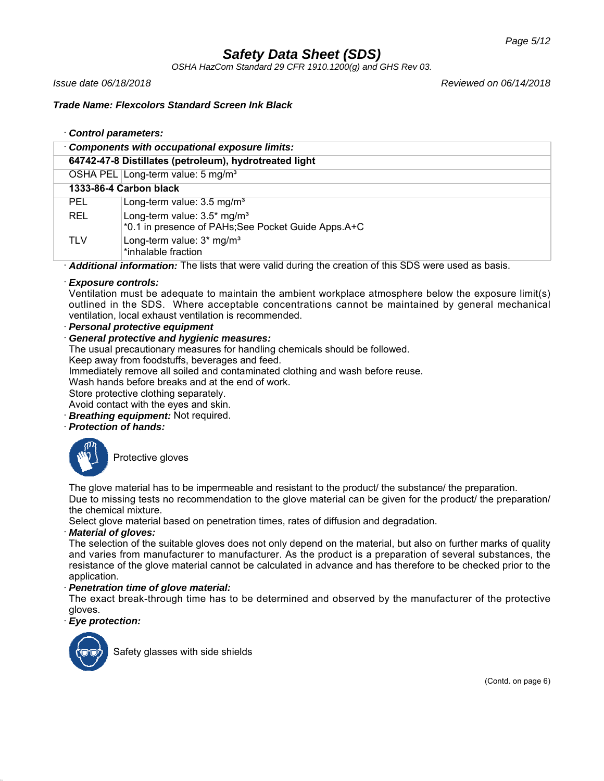*OSHA HazCom Standard 29 CFR 1910.1200(g) and GHS Rev 03.*

*Issue date 06/18/2018 Reviewed on 06/14/2018*

## *Trade Name: Flexcolors Standard Screen Ink Black*

## · *Control parameters:*

|            | Components with occupational exposure limits:                                                          |
|------------|--------------------------------------------------------------------------------------------------------|
|            | 64742-47-8 Distillates (petroleum), hydrotreated light                                                 |
|            | OSHA PEL Long-term value: 5 mg/m <sup>3</sup>                                                          |
|            | 1333-86-4 Carbon black                                                                                 |
| <b>PEL</b> | Long-term value: 3.5 mg/m <sup>3</sup>                                                                 |
| REL        | Long-term value: $3.5*$ mg/m <sup>3</sup><br>*0.1 in presence of PAHs; See Pocket Guide Apps. A+C      |
| <b>TLV</b> | Long-term value: 3* mg/m <sup>3</sup><br>*inhalable fraction                                           |
|            | Askitational information: The light that were valid during the exection of this CDC were used as booje |

· *Additional information:* The lists that were valid during the creation of this SDS were used as basis.

## · *Exposure controls:*

Ventilation must be adequate to maintain the ambient workplace atmosphere below the exposure limit(s) outlined in the SDS. Where acceptable concentrations cannot be maintained by general mechanical ventilation, local exhaust ventilation is recommended.

· *Personal protective equipment*

# · *General protective and hygienic measures:*

The usual precautionary measures for handling chemicals should be followed.

Keep away from foodstuffs, beverages and feed.

Immediately remove all soiled and contaminated clothing and wash before reuse.

Wash hands before breaks and at the end of work.

Store protective clothing separately.

Avoid contact with the eyes and skin.

- **Breathing equipment:** Not required.
- · *Protection of hands:*



Protective gloves

The glove material has to be impermeable and resistant to the product/ the substance/ the preparation. Due to missing tests no recommendation to the glove material can be given for the product/ the preparation/ the chemical mixture.

Select glove material based on penetration times, rates of diffusion and degradation.

### · *Material of gloves:*

The selection of the suitable gloves does not only depend on the material, but also on further marks of quality and varies from manufacturer to manufacturer. As the product is a preparation of several substances, the resistance of the glove material cannot be calculated in advance and has therefore to be checked prior to the application.

### · *Penetration time of glove material:*

The exact break-through time has to be determined and observed by the manufacturer of the protective gloves.

## · *Eye protection:*



Safety glasses with side shields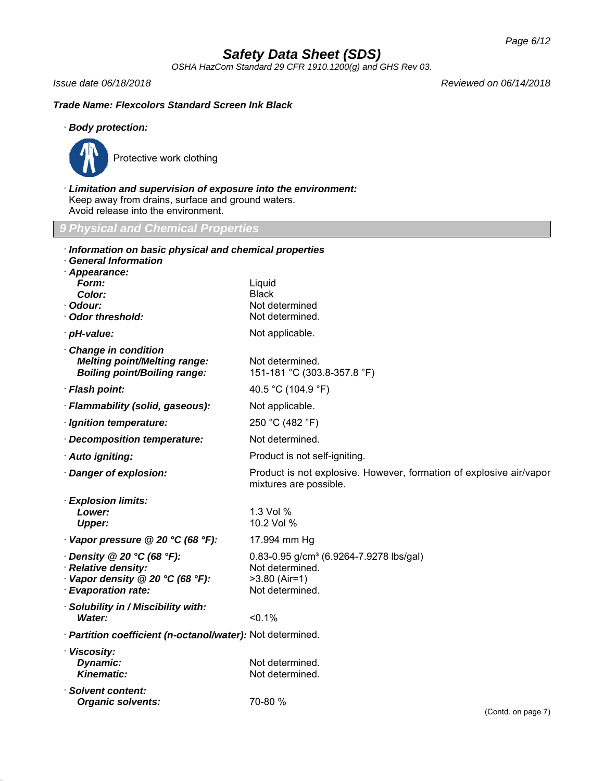*OSHA HazCom Standard 29 CFR 1910.1200(g) and GHS Rev 03.*

*Issue date 06/18/2018 Reviewed on 06/14/2018*

## *Trade Name: Flexcolors Standard Screen Ink Black*

## · *Body protection:*



Protective work clothing

· *Limitation and supervision of exposure into the environment:* Keep away from drains, surface and ground waters. Avoid release into the environment.

*9 Physical and Chemical Properties*

| Information on basic physical and chemical properties                                             |                                                                                               |  |
|---------------------------------------------------------------------------------------------------|-----------------------------------------------------------------------------------------------|--|
| <b>General Information</b><br>Appearance:                                                         |                                                                                               |  |
| Form:                                                                                             | Liquid                                                                                        |  |
| <b>Color:</b>                                                                                     | Black                                                                                         |  |
| Odour:<br><b>Odor threshold:</b>                                                                  | Not determined<br>Not determined.                                                             |  |
|                                                                                                   |                                                                                               |  |
| · pH-value:                                                                                       | Not applicable.                                                                               |  |
| Change in condition<br><b>Melting point/Melting range:</b><br><b>Boiling point/Boiling range:</b> | Not determined.<br>151-181 °C (303.8-357.8 °F)                                                |  |
| · Flash point:                                                                                    | 40.5 °C (104.9 °F)                                                                            |  |
| · Flammability (solid, gaseous):                                                                  | Not applicable.                                                                               |  |
| · Ignition temperature:                                                                           | 250 °C (482 °F)                                                                               |  |
| Decomposition temperature:                                                                        | Not determined.                                                                               |  |
| · Auto igniting:                                                                                  | Product is not self-igniting.                                                                 |  |
| Danger of explosion:                                                                              | Product is not explosive. However, formation of explosive air/vapor<br>mixtures are possible. |  |
| <b>Explosion limits:</b>                                                                          |                                                                                               |  |
| Lower:                                                                                            | 1.3 Vol %                                                                                     |  |
| <b>Upper:</b>                                                                                     | 10.2 Vol %                                                                                    |  |
| $\cdot$ Vapor pressure @ 20 °C (68 °F):                                                           | 17.994 mm Hg                                                                                  |  |
| $\cdot$ Density @ 20 °C (68 °F):                                                                  | 0.83-0.95 g/cm <sup>3</sup> (6.9264-7.9278 lbs/gal)                                           |  |
| <b>Relative density:</b><br>Vapor density @ 20 °C (68 °F):                                        | Not determined.<br>$>3.80$ (Air=1)                                                            |  |
| · Evaporation rate:                                                                               | Not determined.                                                                               |  |
| Solubility in / Miscibility with:                                                                 |                                                                                               |  |
| <b>Water:</b>                                                                                     | < 0.1%                                                                                        |  |
| · Partition coefficient (n-octanol/water): Not determined.                                        |                                                                                               |  |
| · Viscosity:                                                                                      |                                                                                               |  |
| Dynamic:<br><b>Kinematic:</b>                                                                     | Not determined.                                                                               |  |
|                                                                                                   | Not determined.                                                                               |  |
| Solvent content:<br><b>Organic solvents:</b>                                                      | 70-80 %                                                                                       |  |
|                                                                                                   | (Contd. on page 7)                                                                            |  |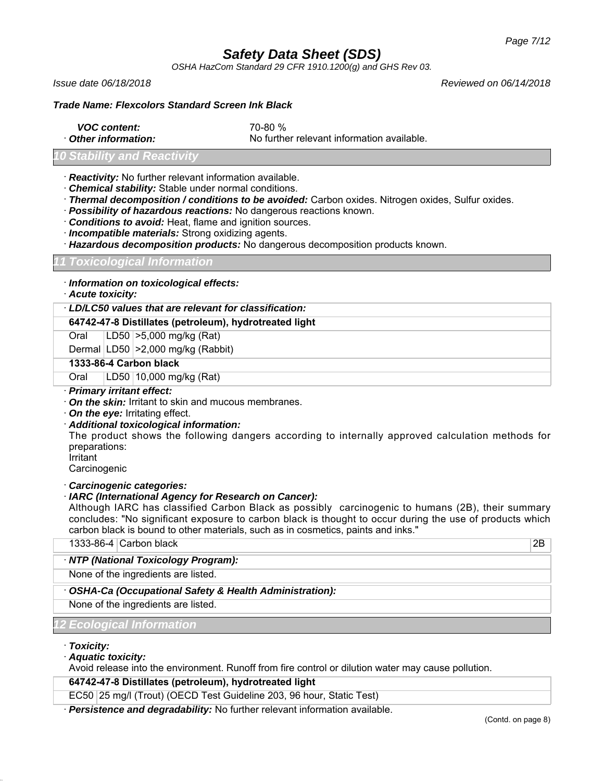*OSHA HazCom Standard 29 CFR 1910.1200(g) and GHS Rev 03.*

*Issue date 06/18/2018 Reviewed on 06/14/2018*

## *Trade Name: Flexcolors Standard Screen Ink Black*

- *VOC content:* 70-80 %
- 

· *Other information:* No further relevant information available.

## *Stability and Reacti*

- · *Reactivity:* No further relevant information available.
- · *Chemical stability:* Stable under normal conditions.
- · *Thermal decomposition / conditions to be avoided:* Carbon oxides. Nitrogen oxides, Sulfur oxides.
- · *Possibility of hazardous reactions:* No dangerous reactions known.
- · *Conditions to avoid:* Heat, flame and ignition sources.
- · *Incompatible materials:* Strong oxidizing agents.
- · *Hazardous decomposition products:* No dangerous decomposition products known.

## *11 Toxicological Information*

- · *Information on toxicological effects:*
- · *Acute toxicity:*

# · *LD/LC50 values that are relevant for classification:*

**64742-47-8 Distillates (petroleum), hydrotreated light**

Oral LD50 >5,000 mg/kg (Rat)

Dermal LD50 >2,000 mg/kg (Rabbit)

## **1333-86-4 Carbon black**

Oral LD50 10,000 mg/kg (Rat)

- · *Primary irritant effect:*
- · *On the skin:* Irritant to skin and mucous membranes.
- · *On the eye:* Irritating effect.
- · *Additional toxicological information:*

The product shows the following dangers according to internally approved calculation methods for preparations:

Irritant

**Carcinogenic** 

· *Carcinogenic categories:*

### · *IARC (International Agency for Research on Cancer):*

Although IARC has classified Carbon Black as possibly carcinogenic to humans (2B), their summary concludes: "No significant exposure to carbon black is thought to occur during the use of products which carbon black is bound to other materials, such as in cosmetics, paints and inks."

1333-86-4 Carbon black 2B

### · *NTP (National Toxicology Program):*

None of the ingredients are listed.

# · *OSHA-Ca (Occupational Safety & Health Administration):*

None of the ingredients are listed.

# *12 Ecological Information*

- · *Toxicity:*
- · *Aquatic toxicity:*

Avoid release into the environment. Runoff from fire control or dilution water may cause pollution.

**64742-47-8 Distillates (petroleum), hydrotreated light**

EC50 25 mg/l (Trout) (OECD Test Guideline 203, 96 hour, Static Test)

· *Persistence and degradability:* No further relevant information available.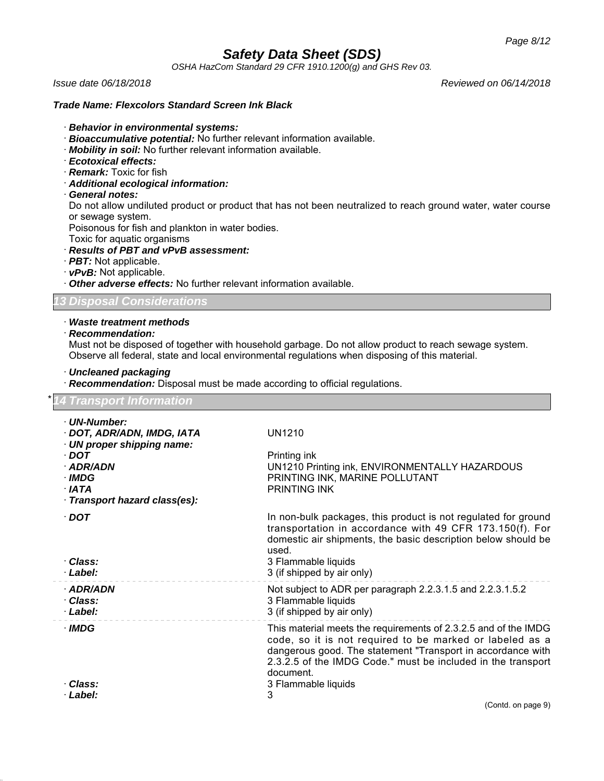*OSHA HazCom Standard 29 CFR 1910.1200(g) and GHS Rev 03.*

#### *Trade Name: Flexcolors Standard Screen Ink Black*

- · *Behavior in environmental systems:*
- · *Bioaccumulative potential:* No further relevant information available.
- · *Mobility in soil:* No further relevant information available.
- · *Ecotoxical effects:*
- · *Remark:* Toxic for fish
- · *Additional ecological information:*

#### · *General notes:*

Do not allow undiluted product or product that has not been neutralized to reach ground water, water course or sewage system.

Poisonous for fish and plankton in water bodies.

Toxic for aquatic organisms

## · *Results of PBT and vPvB assessment:*

· *PBT:* Not applicable.

· *vPvB:* Not applicable.

· *Other adverse effects:* No further relevant information available.

*13 Disposal Considerations*

# · *Waste treatment methods*

# · *Recommendation:*

Must not be disposed of together with household garbage. Do not allow product to reach sewage system. Observe all federal, state and local environmental regulations when disposing of this material.

#### · *Uncleaned packaging*

· *Recommendation:* Disposal must be made according to official regulations.

| · UN-Number:<br>· DOT, ADR/ADN, IMDG, IATA<br><b>UN1210</b><br>· UN proper shipping name:<br>Printing ink<br>$\cdot$ DOT<br>UN1210 Printing ink, ENVIRONMENTALLY HAZARDOUS<br>· ADR/ADN<br>$\cdot$ IMDG<br>PRINTING INK, MARINE POLLUTANT<br><b>PRINTING INK</b><br>· IATA<br>· Transport hazard class(es):<br>$\cdot$ DOT<br>In non-bulk packages, this product is not regulated for ground<br>transportation in accordance with 49 CFR 173.150(f). For<br>domestic air shipments, the basic description below should be<br>used.<br>· Class:<br>3 Flammable liquids<br>3 (if shipped by air only)<br>· Label:<br>Not subject to ADR per paragraph 2.2.3.1.5 and 2.2.3.1.5.2<br>· ADR/ADN<br>3 Flammable liquids<br>· Class:<br>3 (if shipped by air only)<br>· Label:<br>· IMDG<br>This material meets the requirements of 2.3.2.5 and of the IMDG | <b>14 Transport Information</b> |                                                          |
|------------------------------------------------------------------------------------------------------------------------------------------------------------------------------------------------------------------------------------------------------------------------------------------------------------------------------------------------------------------------------------------------------------------------------------------------------------------------------------------------------------------------------------------------------------------------------------------------------------------------------------------------------------------------------------------------------------------------------------------------------------------------------------------------------------------------------------------------------|---------------------------------|----------------------------------------------------------|
|                                                                                                                                                                                                                                                                                                                                                                                                                                                                                                                                                                                                                                                                                                                                                                                                                                                      |                                 |                                                          |
|                                                                                                                                                                                                                                                                                                                                                                                                                                                                                                                                                                                                                                                                                                                                                                                                                                                      |                                 |                                                          |
|                                                                                                                                                                                                                                                                                                                                                                                                                                                                                                                                                                                                                                                                                                                                                                                                                                                      |                                 |                                                          |
|                                                                                                                                                                                                                                                                                                                                                                                                                                                                                                                                                                                                                                                                                                                                                                                                                                                      |                                 |                                                          |
|                                                                                                                                                                                                                                                                                                                                                                                                                                                                                                                                                                                                                                                                                                                                                                                                                                                      |                                 |                                                          |
|                                                                                                                                                                                                                                                                                                                                                                                                                                                                                                                                                                                                                                                                                                                                                                                                                                                      |                                 |                                                          |
|                                                                                                                                                                                                                                                                                                                                                                                                                                                                                                                                                                                                                                                                                                                                                                                                                                                      |                                 |                                                          |
|                                                                                                                                                                                                                                                                                                                                                                                                                                                                                                                                                                                                                                                                                                                                                                                                                                                      |                                 |                                                          |
|                                                                                                                                                                                                                                                                                                                                                                                                                                                                                                                                                                                                                                                                                                                                                                                                                                                      |                                 |                                                          |
|                                                                                                                                                                                                                                                                                                                                                                                                                                                                                                                                                                                                                                                                                                                                                                                                                                                      |                                 |                                                          |
| dangerous good. The statement "Transport in accordance with<br>2.3.2.5 of the IMDG Code." must be included in the transport<br>document.                                                                                                                                                                                                                                                                                                                                                                                                                                                                                                                                                                                                                                                                                                             |                                 | code, so it is not required to be marked or labeled as a |
| · Class:<br>3 Flammable liquids                                                                                                                                                                                                                                                                                                                                                                                                                                                                                                                                                                                                                                                                                                                                                                                                                      |                                 |                                                          |
| 3<br>· Label:<br>(Contd. on page 9)                                                                                                                                                                                                                                                                                                                                                                                                                                                                                                                                                                                                                                                                                                                                                                                                                  |                                 |                                                          |

*Issue date 06/18/2018 Reviewed on 06/14/2018*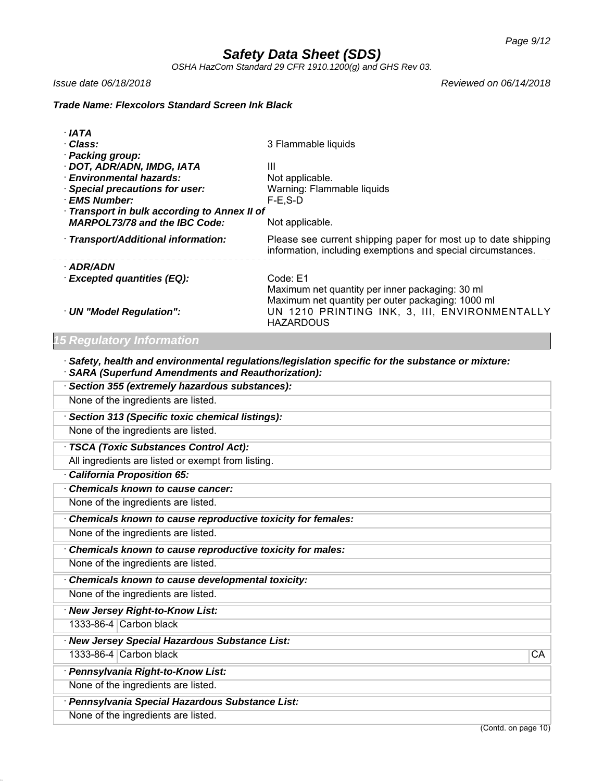*OSHA HazCom Standard 29 CFR 1910.1200(g) and GHS Rev 03.*

*Issue date 06/18/2018 Reviewed on 06/14/2018*

*Trade Name: Flexcolors Standard Screen Ink Black*

| · IATA                                     |                                                                                                                                |
|--------------------------------------------|--------------------------------------------------------------------------------------------------------------------------------|
| · Class:                                   | 3 Flammable liquids                                                                                                            |
| · Packing group:                           |                                                                                                                                |
| · DOT, ADR/ADN, IMDG, IATA                 | Ш                                                                                                                              |
| <b>Environmental hazards:</b>              | Not applicable.                                                                                                                |
| · Special precautions for user:            | Warning: Flammable liquids                                                                                                     |
| · EMS Number:                              | $F-E$ , $S-D$                                                                                                                  |
| Transport in bulk according to Annex II of |                                                                                                                                |
| <b>MARPOL73/78 and the IBC Code:</b>       | Not applicable.                                                                                                                |
| Transport/Additional information:          | Please see current shipping paper for most up to date shipping<br>information, including exemptions and special circumstances. |
| · ADR/ADN                                  |                                                                                                                                |
| · Excepted quantities (EQ):                | Code: E1                                                                                                                       |
|                                            | Maximum net quantity per inner packaging: 30 ml                                                                                |
|                                            | Maximum net quantity per outer packaging: 1000 ml                                                                              |
| · UN "Model Regulation":                   | UN 1210 PRINTING INK, 3, III, ENVIRONMENTALLY                                                                                  |
|                                            | <b>HAZARDOUS</b>                                                                                                               |

# *15 Regulatory Information*

· *Safety, health and environmental regulations/legislation specific for the substance or mixture:* · *SARA (Superfund Amendments and Reauthorization):*

| Section 355 (extremely hazardous substances):                                                                  |
|----------------------------------------------------------------------------------------------------------------|
| None of the ingredients are listed.                                                                            |
| Section 313 (Specific toxic chemical listings):                                                                |
| None of the ingredients are listed.                                                                            |
| TSCA (Toxic Substances Control Act):                                                                           |
| All ingredients are listed or exempt from listing.                                                             |
| <b>California Proposition 65:</b>                                                                              |
| <b>Chemicals known to cause cancer:</b>                                                                        |
| None of the ingredients are listed.                                                                            |
| Chemicals known to cause reproductive toxicity for females:                                                    |
| None of the ingredients are listed.                                                                            |
| Chemicals known to cause reproductive toxicity for males:                                                      |
| None of the ingredients are listed.                                                                            |
| Chemicals known to cause developmental toxicity:                                                               |
| None of the ingredients are listed.                                                                            |
| · New Jersey Right-to-Know List:                                                                               |
| 1333-86-4 Carbon black                                                                                         |
| · New Jersey Special Hazardous Substance List:                                                                 |
| 1333-86-4 Carbon black<br>CA                                                                                   |
| · Pennsylvania Right-to-Know List:                                                                             |
| None of the ingredients are listed.                                                                            |
| · Pennsylvania Special Hazardous Substance List:                                                               |
| None of the ingredients are listed.<br>$\overline{a}$ and $\overline{a}$ are $\overline{a}$ and $\overline{a}$ |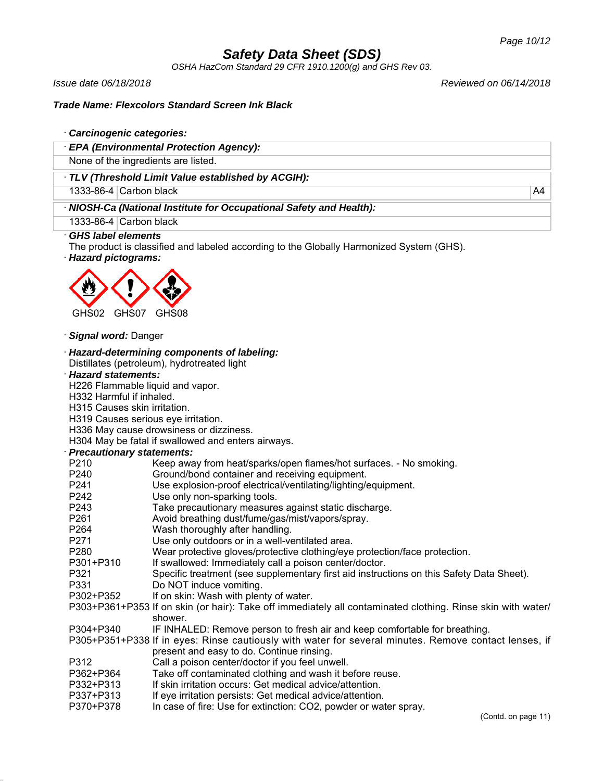*OSHA HazCom Standard 29 CFR 1910.1200(g) and GHS Rev 03.*

*Issue date 06/18/2018 Reviewed on 06/14/2018*

### *Trade Name: Flexcolors Standard Screen Ink Black*

#### · *Carcinogenic categories:*

· *EPA (Environmental Protection Agency):*

None of the ingredients are listed.

· *TLV (Threshold Limit Value established by ACGIH):*

1333-86-4 Carbon black A4

· *NIOSH-Ca (National Institute for Occupational Safety and Health):*

1333-86-4 Carbon black

### · *GHS label elements*

The product is classified and labeled according to the Globally Harmonized System (GHS).

· *Hazard pictograms:*



· *Signal word:* Danger

#### · *Hazard-determining components of labeling:*

Distillates (petroleum), hydrotreated light

### · *Hazard statements:*

H226 Flammable liquid and vapor.

- H332 Harmful if inhaled.
- H315 Causes skin irritation.

H319 Causes serious eye irritation.

H336 May cause drowsiness or dizziness.

H304 May be fatal if swallowed and enters airways.

# · *Precautionary statements:*

| <u>recautionary statements.</u> |                                                                                                             |
|---------------------------------|-------------------------------------------------------------------------------------------------------------|
| P <sub>210</sub>                | Keep away from heat/sparks/open flames/hot surfaces. - No smoking.                                          |
| P240                            | Ground/bond container and receiving equipment.                                                              |
| P241                            | Use explosion-proof electrical/ventilating/lighting/equipment.                                              |
| P242                            | Use only non-sparking tools.                                                                                |
| P243                            | Take precautionary measures against static discharge.                                                       |
| P261                            | Avoid breathing dust/fume/gas/mist/vapors/spray.                                                            |
| P264                            | Wash thoroughly after handling.                                                                             |
| P271                            | Use only outdoors or in a well-ventilated area.                                                             |
| P280                            | Wear protective gloves/protective clothing/eye protection/face protection.                                  |
| P301+P310                       | If swallowed: Immediately call a poison center/doctor.                                                      |
| P321                            | Specific treatment (see supplementary first aid instructions on this Safety Data Sheet).                    |
| P331                            | Do NOT induce vomiting.                                                                                     |
| P302+P352                       | If on skin: Wash with plenty of water.                                                                      |
|                                 | P303+P361+P353 If on skin (or hair): Take off immediately all contaminated clothing. Rinse skin with water/ |
|                                 | shower.                                                                                                     |
| P304+P340                       | IF INHALED: Remove person to fresh air and keep comfortable for breathing.                                  |
|                                 | P305+P351+P338 If in eyes: Rinse cautiously with water for several minutes. Remove contact lenses, if       |
|                                 | present and easy to do. Continue rinsing.                                                                   |
| P312                            | Call a poison center/doctor if you feel unwell.                                                             |
| P362+P364                       | Take off contaminated clothing and wash it before reuse.                                                    |
| P332+P313                       | If skin irritation occurs: Get medical advice/attention.                                                    |
| P337+P313                       | If eye irritation persists: Get medical advice/attention.                                                   |

P370+P378 In case of fire: Use for extinction: CO2, powder or water spray.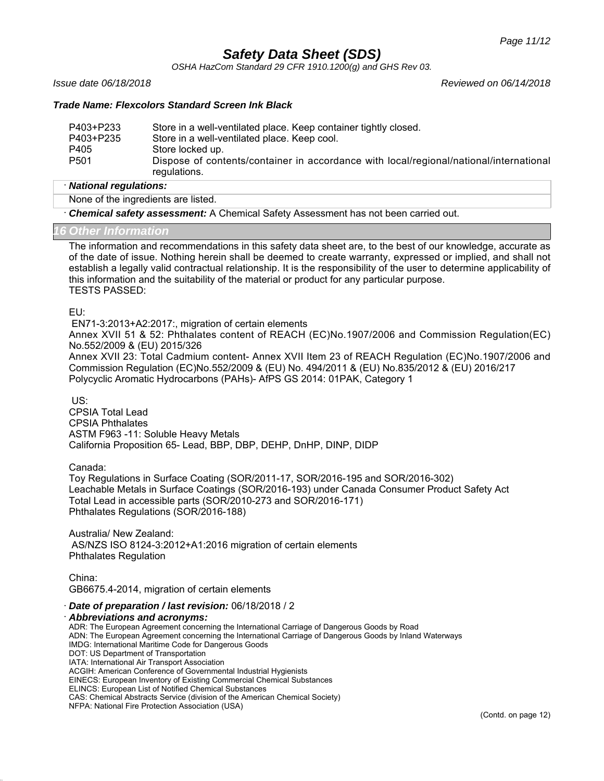*OSHA HazCom Standard 29 CFR 1910.1200(g) and GHS Rev 03.*

*Issue date 06/18/2018 Reviewed on 06/14/2018*

### *Trade Name: Flexcolors Standard Screen Ink Black*

| P403+P233        | Store in a well-ventilated place. Keep container tightly closed.                                       |
|------------------|--------------------------------------------------------------------------------------------------------|
| P403+P235        | Store in a well-ventilated place. Keep cool.                                                           |
| P405             | Store locked up.                                                                                       |
| P <sub>501</sub> | Dispose of contents/container in accordance with local/regional/national/international<br>regulations. |

#### · *National regulations:*

None of the ingredients are listed.

· *Chemical safety assessment:* A Chemical Safety Assessment has not been carried out.

#### *16 Other Information*

The information and recommendations in this safety data sheet are, to the best of our knowledge, accurate as of the date of issue. Nothing herein shall be deemed to create warranty, expressed or implied, and shall not establish a legally valid contractual relationship. It is the responsibility of the user to determine applicability of this information and the suitability of the material or product for any particular purpose. TESTS PASSED:

EU:

EN71-3:2013+A2:2017:, migration of certain elements

Annex XVII 51 & 52: Phthalates content of REACH (EC)No.1907/2006 and Commission Regulation(EC) No.552/2009 & (EU) 2015/326

Annex XVII 23: Total Cadmium content- Annex XVII Item 23 of REACH Regulation (EC)No.1907/2006 and Commission Regulation (EC)No.552/2009 & (EU) No. 494/2011 & (EU) No.835/2012 & (EU) 2016/217 Polycyclic Aromatic Hydrocarbons (PAHs)- AfPS GS 2014: 01PAK, Category 1

US:

CPSIA Total Lead CPSIA Phthalates ASTM F963 -11: Soluble Heavy Metals California Proposition 65- Lead, BBP, DBP, DEHP, DnHP, DINP, DIDP

Canada:

Toy Regulations in Surface Coating (SOR/2011-17, SOR/2016-195 and SOR/2016-302) Leachable Metals in Surface Coatings (SOR/2016-193) under Canada Consumer Product Safety Act Total Lead in accessible parts (SOR/2010-273 and SOR/2016-171) Phthalates Regulations (SOR/2016-188)

Australia/ New Zealand: AS/NZS ISO 8124-3:2012+A1:2016 migration of certain elements Phthalates Regulation

China: GB6675.4-2014, migration of certain elements

· *Date of preparation / last revision:* 06/18/2018 / 2

· *Abbreviations and acronyms:*

ADR: The European Agreement concerning the International Carriage of Dangerous Goods by Road ADN: The European Agreement concerning the International Carriage of Dangerous Goods by Inland Waterways IMDG: International Maritime Code for Dangerous Goods DOT: US Department of Transportation IATA: International Air Transport Association ACGIH: American Conference of Governmental Industrial Hygienists EINECS: European Inventory of Existing Commercial Chemical Substances ELINCS: European List of Notified Chemical Substances CAS: Chemical Abstracts Service (division of the American Chemical Society) NFPA: National Fire Protection Association (USA)